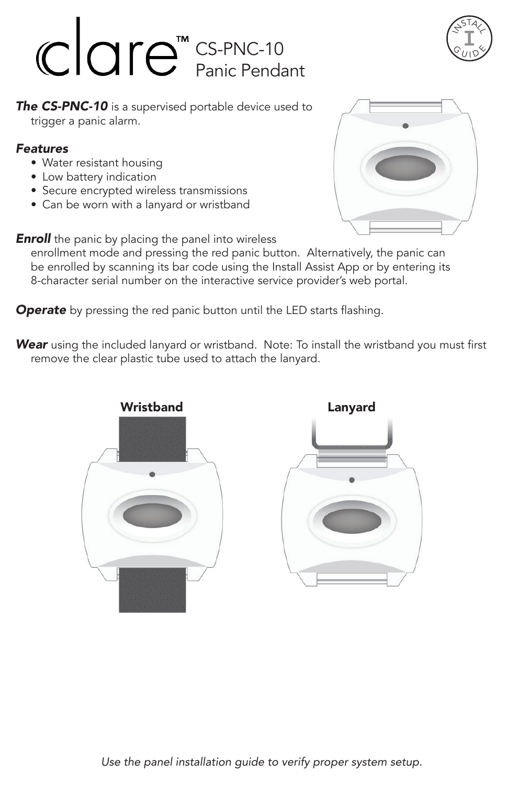## CS-PNC-10 Panic Pendant



**The CS-PNC-10** is a supervised portable device used to trigger a panic alarm.

## *Features*

- Water resistant housing
- Low battery indication
- Secure encrypted wireless transmissions
- Can be worn with a lanyard or wristband

**Enroll** the panic by placing the panel into wireless

enrollment mode and pressing the red panic button. Alternatively, the panic can be enrolled by scanning its bar code using the Install Assist App or by entering its 8-character serial number on the interactive service provider's web portal.

**Operate** by pressing the red panic button until the LED starts flashing.

*Wear* using the included lanyard or wristband. Note: To install the wristband you must first remove the clear plastic tube used to attach the lanyard.